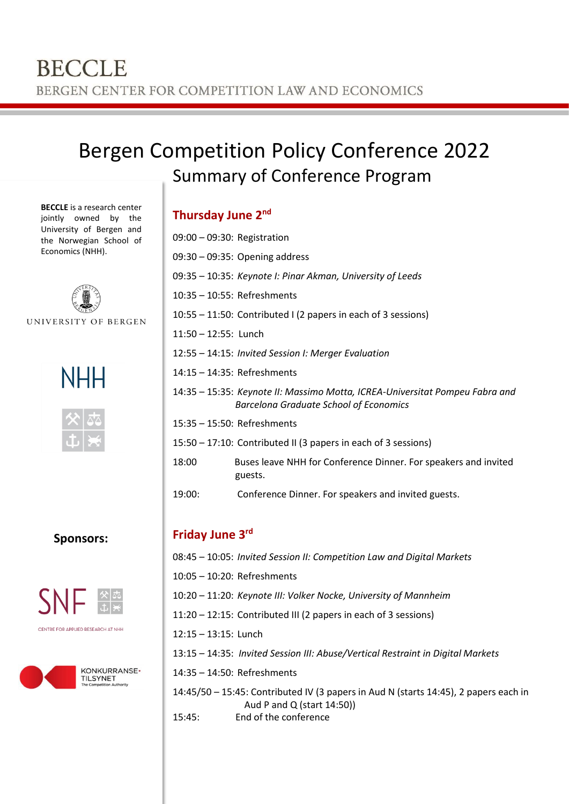# Bergen Competition Policy Conference 2022 Summary of Conference Program

**BECCLE** is a research center jointly owned by the University of Bergen and the Norwegian School of Economics (NHH).



UNIVERSITY OF BERGEN





### **Sponsors:**





### **Thursday June 2nd**

| 09:00 - 09:30: Registration |                                                                                                                               |
|-----------------------------|-------------------------------------------------------------------------------------------------------------------------------|
|                             | 09:30 - 09:35: Opening address                                                                                                |
|                             | 09:35 – 10:35: Keynote I: Pinar Akman, University of Leeds                                                                    |
| 10:35 - 10:55: Refreshments |                                                                                                                               |
|                             | 10:55 – 11:50: Contributed I (2 papers in each of 3 sessions)                                                                 |
| 11:50 - 12:55: Lunch        |                                                                                                                               |
|                             | 12:55 - 14:15: Invited Session I: Merger Evaluation                                                                           |
| 14:15 - 14:35: Refreshments |                                                                                                                               |
|                             | 14:35 – 15:35: Keynote II: Massimo Motta, ICREA-Universitat Pompeu Fabra and<br><b>Barcelona Graduate School of Economics</b> |
| 15:35 - 15:50: Refreshments |                                                                                                                               |
|                             | 15:50 – 17:10: Contributed II (3 papers in each of 3 sessions)                                                                |
| 18:00                       | Buses leave NHH for Conference Dinner. For speakers and invited<br>guests.                                                    |
| 19:00:                      | Conference Dinner. For speakers and invited guests.                                                                           |
|                             |                                                                                                                               |
| Friday June 3 <sup>rd</sup> |                                                                                                                               |
|                             | 08:45 - 10:05: Invited Session II: Competition Law and Digital Markets                                                        |
|                             |                                                                                                                               |

- 10:05 10:20: Refreshments
- 10:20 11:20: *Keynote III: Volker Nocke, University of Mannheim*
- 11:20 12:15: Contributed III (2 papers in each of 3 sessions)
- 12:15 13:15: Lunch
- 13:15 14:35: *Invited Session III: Abuse/Vertical Restraint in Digital Markets*
- 14:35 14:50: Refreshments

14:45/50 – 15:45: Contributed IV (3 papers in Aud N (starts 14:45), 2 papers each in Aud P and Q (start 14:50))

15:45: End of the conference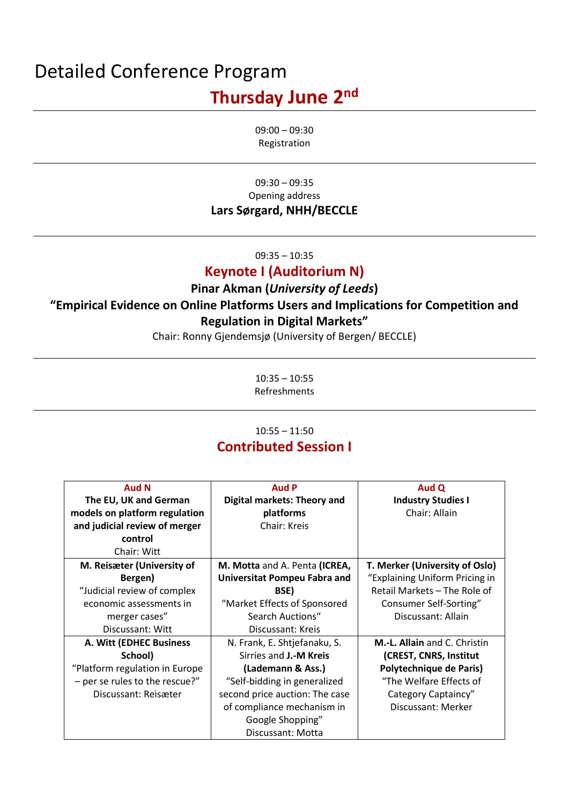# Detailed Conference Program **Thursday June 2nd**

09:00 – 09:30 Registration

09:30 – 09:35 Opening address **Lars Sørgard, NHH/BECCLE**

09:35 – 10:35

### **Keynote I (Auditorium N)**

## **Pinar Akman (***University of Leeds***) "Empirical Evidence on Online Platforms Users and Implications for Competition and Regulation in Digital Markets"**

Chair: Ronny Gjendemsjø (University of Bergen/ BECCLE)

10:35 – 10:55 Refreshments

## 10:55 – 11:50 **Contributed Session I**

| <b>Aud N</b>                   | <b>Aud P</b>                       | Aud Q                          |
|--------------------------------|------------------------------------|--------------------------------|
| The EU, UK and German          | <b>Digital markets: Theory and</b> | <b>Industry Studies I</b>      |
| models on platform regulation  | platforms                          | Chair: Allain                  |
| and judicial review of merger  | Chair: Kreis                       |                                |
| control                        |                                    |                                |
| Chair: Witt                    |                                    |                                |
| M. Reisæter (University of     | M. Motta and A. Penta (ICREA,      | T. Merker (University of Oslo) |
| Bergen)                        | Universitat Pompeu Fabra and       | "Explaining Uniform Pricing in |
| "Judicial review of complex    | BSE)                               | Retail Markets - The Role of   |
| economic assessments in        | "Market Effects of Sponsored       | Consumer Self-Sorting"         |
| merger cases"                  | Search Auctions"                   | Discussant: Allain             |
| Discussant: Witt               | Discussant: Kreis                  |                                |
| A. Witt (EDHEC Business        | N. Frank, E. Shtjefanaku, S.       | M.-L. Allain and C. Christin   |
| School)                        | Sirries and <b>J.-M Kreis</b>      | (CREST, CNRS, Institut         |
| "Platform regulation in Europe | (Lademann & Ass.)                  | Polytechnique de Paris)        |
| - per se rules to the rescue?" | "Self-bidding in generalized       | "The Welfare Effects of        |
| Discussant: Reisæter           | second price auction: The case     | Category Captaincy"            |
|                                | of compliance mechanism in         | Discussant: Merker             |
|                                | Google Shopping"                   |                                |
|                                | Discussant: Motta                  |                                |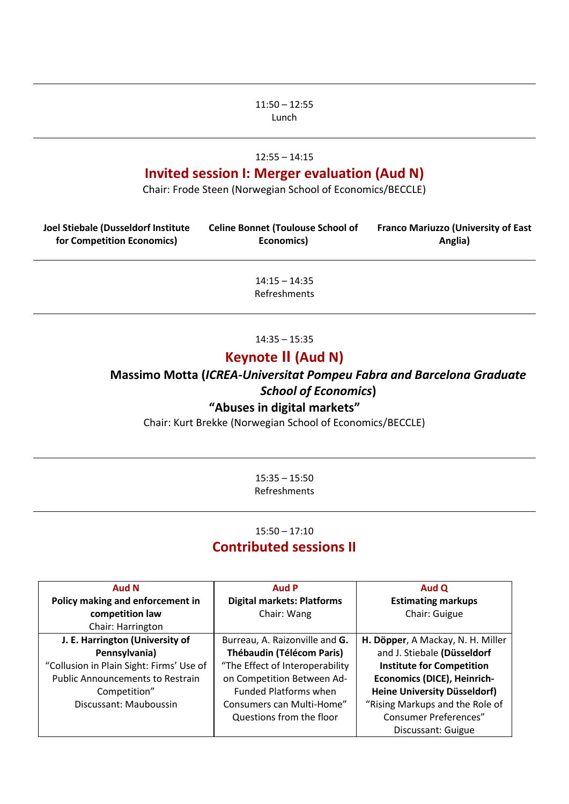#### 11:50 – 12:55 Lunch

#### 12:55 – 14:15

### **Invited session I: Merger evaluation (Aud N)**

Chair: Frode Steen (Norwegian School of Economics/BECCLE)

| Joel Stiebale (Dusseldorf Institute<br>for Competition Economics) | <b>Celine Bonnet (Toulouse School of</b><br>Economics) | <b>Franco Mariuzzo (University of East</b><br>Anglia) |
|-------------------------------------------------------------------|--------------------------------------------------------|-------------------------------------------------------|
|                                                                   | $14:15 - 14:35$<br>Refreshments                        |                                                       |
|                                                                   | $14:35 - 15:35$                                        |                                                       |

## **Keynote II (Aud N)**

**Massimo Motta (***ICREA-Universitat Pompeu Fabra and Barcelona Graduate School of Economics***)**

### **"Abuses in digital markets"**

Chair: Kurt Brekke (Norwegian School of Economics/BECCLE)

15:35 – 15:50 Refreshments

### 15:50 – 17:10 **Contributed sessions II**

| <b>Aud N</b>                             | <b>Aud P</b>                      | Aud Q                               |
|------------------------------------------|-----------------------------------|-------------------------------------|
| Policy making and enforcement in         | <b>Digital markets: Platforms</b> | <b>Estimating markups</b>           |
| competition law                          | Chair: Wang                       | Chair: Guigue                       |
| Chair: Harrington                        |                                   |                                     |
| J. E. Harrington (University of          | Burreau, A. Raizonville and G.    | H. Döpper, A Mackay, N. H. Miller   |
| Pennsylvania)                            | Thébaudin (Télécom Paris)         | and J. Stiebale (Düsseldorf         |
| "Collusion in Plain Sight: Firms' Use of | "The Effect of Interoperability   | <b>Institute for Competition</b>    |
| <b>Public Announcements to Restrain</b>  | on Competition Between Ad-        | Economics (DICE), Heinrich-         |
| Competition"                             | <b>Funded Platforms when</b>      | <b>Heine University Düsseldorf)</b> |
| Discussant: Mauboussin                   | Consumers can Multi-Home"         | "Rising Markups and the Role of     |
|                                          | Questions from the floor          | <b>Consumer Preferences"</b>        |
|                                          |                                   | Discussant: Guigue                  |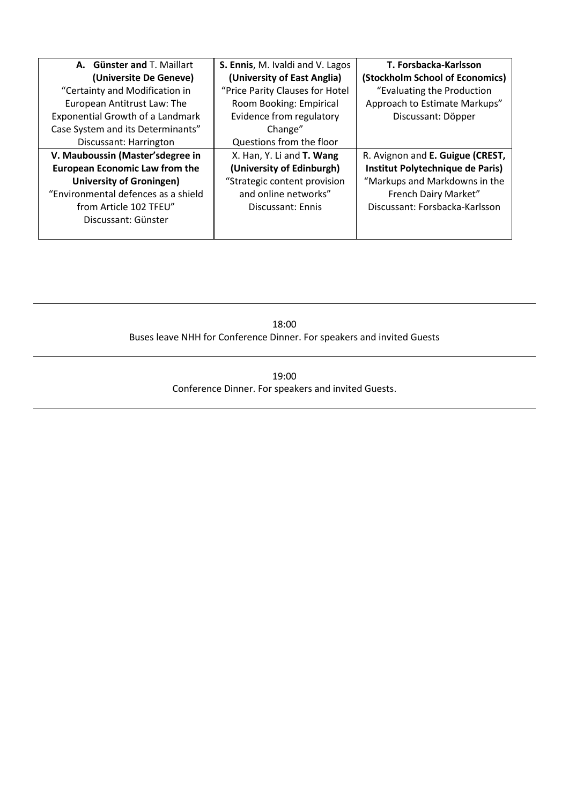| A. Günster and T. Maillart              | S. Ennis, M. Ivaldi and V. Lagos | T. Forsbacka-Karlsson            |
|-----------------------------------------|----------------------------------|----------------------------------|
| (Universite De Geneve)                  | (University of East Anglia)      | (Stockholm School of Economics)  |
| "Certainty and Modification in          | "Price Parity Clauses for Hotel  | "Evaluating the Production       |
| European Antitrust Law: The             | Room Booking: Empirical          | Approach to Estimate Markups"    |
| <b>Exponential Growth of a Landmark</b> | Evidence from regulatory         | Discussant: Döpper               |
| Case System and its Determinants"       | Change"                          |                                  |
| Discussant: Harrington                  | Questions from the floor         |                                  |
| V. Mauboussin (Master'sdegree in        | X. Han, Y. Li and T. Wang        | R. Avignon and E. Guigue (CREST, |
| <b>European Economic Law from the</b>   | (University of Edinburgh)        | Institut Polytechnique de Paris) |
| <b>University of Groningen)</b>         | "Strategic content provision     | "Markups and Markdowns in the    |
| "Environmental defences as a shield     | and online networks"             | French Dairy Market"             |
| from Article 102 TFEU"                  | Discussant: Ennis                | Discussant: Forsbacka-Karlsson   |
| Discussant: Günster                     |                                  |                                  |
|                                         |                                  |                                  |

18:00 Buses leave NHH for Conference Dinner. For speakers and invited Guests

> 19:00 Conference Dinner. For speakers and invited Guests.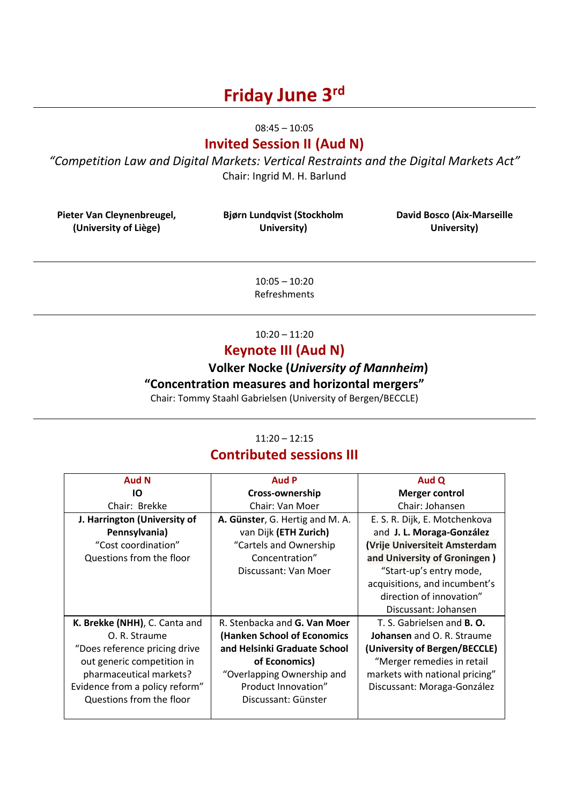# **Friday June 3rd**

08:45 – 10:05

### **Invited Session II (Aud N)**

*"Competition Law and Digital Markets: Vertical Restraints and the Digital Markets Act"* Chair: Ingrid M. H. Barlund

**Pieter Van Cleynenbreugel, (University of Liège)**

**Bjørn Lundqvist (Stockholm University)** 

**David Bosco (Aix-Marseille University)**

10:05 – 10:20 Refreshments

### 10:20 – 11:20

### **Keynote III (Aud N)**

# **Volker Nocke (***University of Mannheim***)**

**"Concentration measures and horizontal mergers"**

Chair: Tommy Staahl Gabrielsen (University of Bergen/BECCLE)

### 11:20 – 12:15

### **Contributed sessions III**

| <b>Aud N</b>                   | <b>Aud P</b>                    | Aud Q                             |
|--------------------------------|---------------------------------|-----------------------------------|
| IО                             | Cross-ownership                 | <b>Merger control</b>             |
| Chair: Brekke                  | Chair: Van Moer                 | Chair: Johansen                   |
| J. Harrington (University of   | A. Günster, G. Hertig and M. A. | E. S. R. Dijk, E. Motchenkova     |
| Pennsylvania)                  | van Dijk (ETH Zurich)           | and J. L. Moraga-González         |
| "Cost coordination"            | "Cartels and Ownership          | (Vrije Universiteit Amsterdam     |
| Questions from the floor       | Concentration"                  | and University of Groningen)      |
|                                | Discussant: Van Moer            | "Start-up's entry mode,           |
|                                |                                 | acquisitions, and incumbent's     |
|                                |                                 | direction of innovation"          |
|                                |                                 | Discussant: Johansen              |
| K. Brekke (NHH), C. Canta and  | R. Stenbacka and G. Van Moer    | T. S. Gabrielsen and <b>B. O.</b> |
| O. R. Straume                  | (Hanken School of Economics     | <b>Johansen</b> and O. R. Straume |
| "Does reference pricing drive  | and Helsinki Graduate School    | (University of Bergen/BECCLE)     |
| out generic competition in     | of Economics)                   | "Merger remedies in retail        |
| pharmaceutical markets?        | "Overlapping Ownership and      | markets with national pricing"    |
| Evidence from a policy reform" | Product Innovation"             | Discussant: Moraga-González       |
| Questions from the floor       | Discussant: Günster             |                                   |
|                                |                                 |                                   |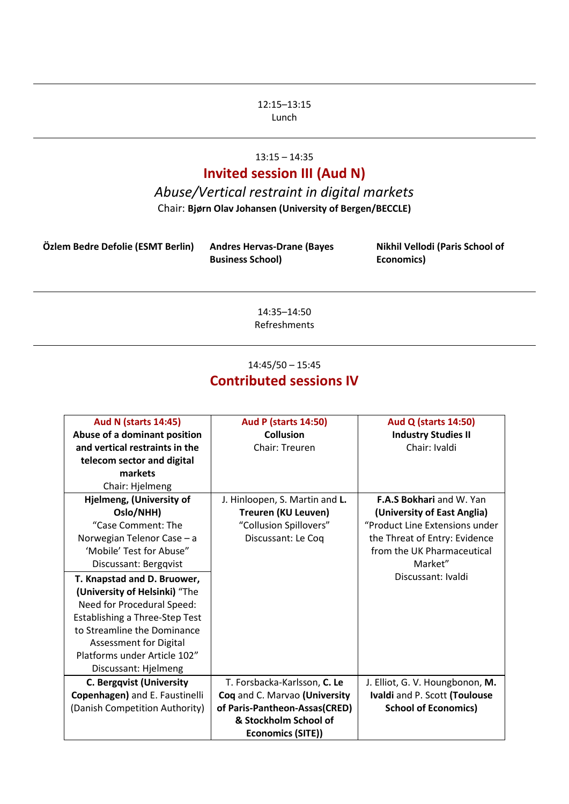#### 12:15–13:15 Lunch

## 13:15 – 14:35

## **Invited session III (Aud N)**

# *Abuse/Vertical restraint in digital markets*

Chair: **Bjørn Olav Johansen (University of Bergen/BECCLE)**

| Özlem Bedre Defolie (ESMT Berlin) | <b>Andres Hervas-Drane (Bayes</b> | Nikhil Vellodi (Paris School of |
|-----------------------------------|-----------------------------------|---------------------------------|
|                                   | <b>Business School)</b>           | Economics)                      |

14:35–14:50 Refreshments

### 14:45/50 – 15:45 **Contributed sessions IV**

| <b>Aud N (starts 14:45)</b>     | <b>Aud P (starts 14:50)</b>    | <b>Aud Q (starts 14:50)</b>     |
|---------------------------------|--------------------------------|---------------------------------|
| Abuse of a dominant position    | <b>Collusion</b>               | <b>Industry Studies II</b>      |
| and vertical restraints in the  | Chair: Treuren                 | Chair: Ivaldi                   |
| telecom sector and digital      |                                |                                 |
| markets                         |                                |                                 |
| Chair: Hjelmeng                 |                                |                                 |
| Hjelmeng, (University of        | J. Hinloopen, S. Martin and L. | <b>F.A.S Bokhari</b> and W. Yan |
| Oslo/NHH)                       | Treuren (KU Leuven)            | (University of East Anglia)     |
| "Case Comment: The              | "Collusion Spillovers"         | "Product Line Extensions under  |
| Norwegian Telenor Case - a      | Discussant: Le Coq             | the Threat of Entry: Evidence   |
| 'Mobile' Test for Abuse"        |                                | from the UK Pharmaceutical      |
| Discussant: Bergqvist           |                                | Market"                         |
| T. Knapstad and D. Bruower,     |                                | Discussant: Ivaldi              |
| (University of Helsinki) "The   |                                |                                 |
| Need for Procedural Speed:      |                                |                                 |
| Establishing a Three-Step Test  |                                |                                 |
| to Streamline the Dominance     |                                |                                 |
| Assessment for Digital          |                                |                                 |
| Platforms under Article 102"    |                                |                                 |
| Discussant: Hjelmeng            |                                |                                 |
| <b>C. Bergqvist (University</b> | T. Forsbacka-Karlsson, C. Le   | J. Elliot, G. V. Houngbonon, M. |
| Copenhagen) and E. Faustinelli  | Coq and C. Marvao (University  | Ivaldi and P. Scott (Toulouse   |
| (Danish Competition Authority)  | of Paris-Pantheon-Assas(CRED)  | <b>School of Economics)</b>     |
|                                 | & Stockholm School of          |                                 |
|                                 | Economics (SITE))              |                                 |